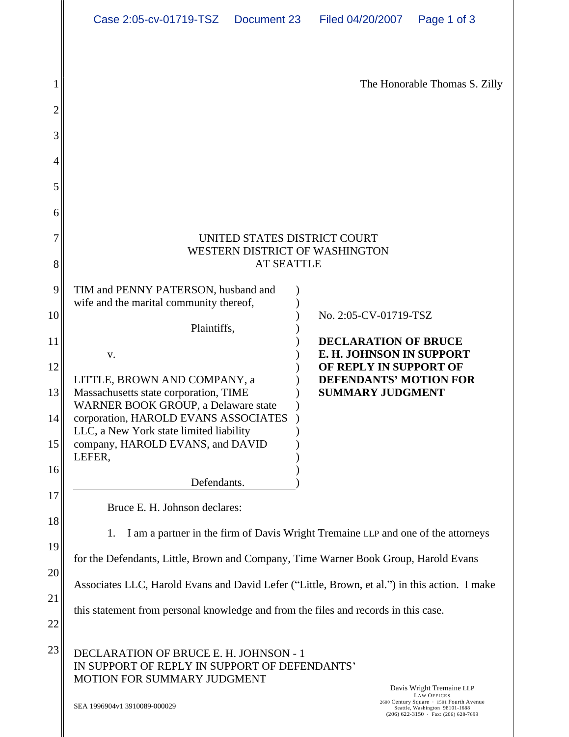| Document 23 Filed 04/20/2007 Page 1 of 3 | Case 2:05-cv-01719-TSZ |  |  |  |
|------------------------------------------|------------------------|--|--|--|
|------------------------------------------|------------------------|--|--|--|

| The Honorable Thomas S. Zilly                                                                                                                                                                          |  |  |  |
|--------------------------------------------------------------------------------------------------------------------------------------------------------------------------------------------------------|--|--|--|
|                                                                                                                                                                                                        |  |  |  |
|                                                                                                                                                                                                        |  |  |  |
|                                                                                                                                                                                                        |  |  |  |
|                                                                                                                                                                                                        |  |  |  |
|                                                                                                                                                                                                        |  |  |  |
| UNITED STATES DISTRICT COURT<br>WESTERN DISTRICT OF WASHINGTON                                                                                                                                         |  |  |  |
| <b>AT SEATTLE</b><br>TIM and PENNY PATERSON, husband and                                                                                                                                               |  |  |  |
| wife and the marital community thereof,<br>No. 2:05-CV-01719-TSZ                                                                                                                                       |  |  |  |
| Plaintiffs,<br><b>DECLARATION OF BRUCE</b>                                                                                                                                                             |  |  |  |
| <b>E. H. JOHNSON IN SUPPORT</b><br>OF REPLY IN SUPPORT OF                                                                                                                                              |  |  |  |
| LITTLE, BROWN AND COMPANY, a<br><b>DEFENDANTS' MOTION FOR</b><br>Massachusetts state corporation, TIME<br>WARNER BOOK GROUP, a Delaware state<br><b>SUMMARY JUDGMENT</b>                               |  |  |  |
| corporation, HAROLD EVANS ASSOCIATES                                                                                                                                                                   |  |  |  |
| LLC, a New York state limited liability<br>company, HAROLD EVANS, and DAVID<br>LEFER,                                                                                                                  |  |  |  |
| Defendants.                                                                                                                                                                                            |  |  |  |
| Bruce E. H. Johnson declares:                                                                                                                                                                          |  |  |  |
| 1. I am a partner in the firm of Davis Wright Tremaine LLP and one of the attorneys                                                                                                                    |  |  |  |
| for the Defendants, Little, Brown and Company, Time Warner Book Group, Harold Evans                                                                                                                    |  |  |  |
| Associates LLC, Harold Evans and David Lefer ("Little, Brown, et al.") in this action. I make                                                                                                          |  |  |  |
| this statement from personal knowledge and from the files and records in this case.                                                                                                                    |  |  |  |
| DECLARATION OF BRUCE E. H. JOHNSON - 1                                                                                                                                                                 |  |  |  |
| IN SUPPORT OF REPLY IN SUPPORT OF DEFENDANTS'<br>MOTION FOR SUMMARY JUDGMENT                                                                                                                           |  |  |  |
| Davis Wright Tremaine LLP<br>LAW OFFICES<br>2600 Century Square · 1501 Fourth Avenue<br>SEA 1996904v1 3910089-000029<br>Seattle, Washington 98101-1688<br>$(206)$ 622-3150 $\cdot$ Fax: (206) 628-7699 |  |  |  |
|                                                                                                                                                                                                        |  |  |  |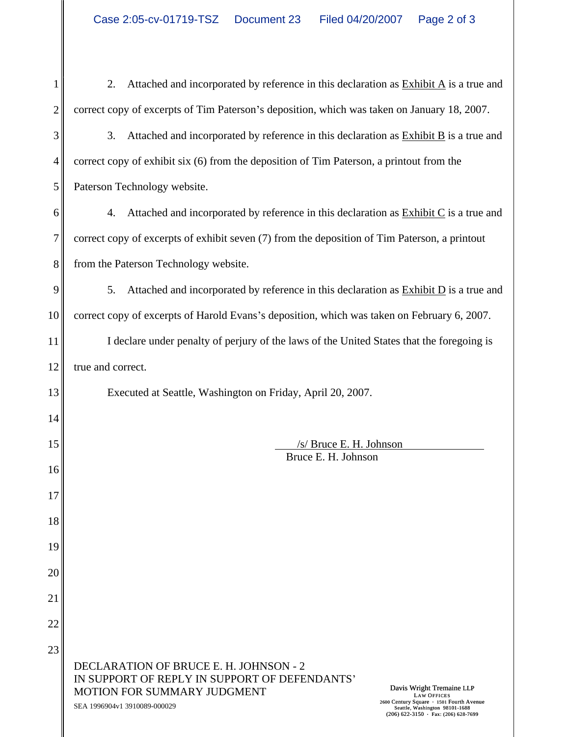| 2. Attached and incorporated by reference in this declaration as $\frac{Exhibit A}{A}$ is a true and                                                                                                            |  |  |
|-----------------------------------------------------------------------------------------------------------------------------------------------------------------------------------------------------------------|--|--|
| correct copy of excerpts of Tim Paterson's deposition, which was taken on January 18, 2007.                                                                                                                     |  |  |
| Attached and incorporated by reference in this declaration as $\frac{Exhibit B}{B}$ is a true and                                                                                                               |  |  |
| correct copy of exhibit six (6) from the deposition of Tim Paterson, a printout from the                                                                                                                        |  |  |
| Paterson Technology website.                                                                                                                                                                                    |  |  |
| 4. Attached and incorporated by reference in this declaration as $\frac{Exhibit C}{C}$ is a true and                                                                                                            |  |  |
| correct copy of excerpts of exhibit seven (7) from the deposition of Tim Paterson, a printout                                                                                                                   |  |  |
| from the Paterson Technology website.                                                                                                                                                                           |  |  |
| Attached and incorporated by reference in this declaration as $\frac{Exhibit D}{D}$ is a true and                                                                                                               |  |  |
| correct copy of excerpts of Harold Evans's deposition, which was taken on February 6, 2007.                                                                                                                     |  |  |
| I declare under penalty of perjury of the laws of the United States that the foregoing is                                                                                                                       |  |  |
| true and correct.                                                                                                                                                                                               |  |  |
| Executed at Seattle, Washington on Friday, April 20, 2007.                                                                                                                                                      |  |  |
|                                                                                                                                                                                                                 |  |  |
| $/s/$ Bruce E. H. Johnson<br>Bruce E. H. Johnson                                                                                                                                                                |  |  |
|                                                                                                                                                                                                                 |  |  |
|                                                                                                                                                                                                                 |  |  |
|                                                                                                                                                                                                                 |  |  |
|                                                                                                                                                                                                                 |  |  |
|                                                                                                                                                                                                                 |  |  |
|                                                                                                                                                                                                                 |  |  |
|                                                                                                                                                                                                                 |  |  |
|                                                                                                                                                                                                                 |  |  |
| DECLARATION OF BRUCE E. H. JOHNSON - 2<br>IN SUPPORT OF REPLY IN SUPPORT OF DEFENDANTS'<br>Davis Wright Tremaine LLP                                                                                            |  |  |
| MOTION FOR SUMMARY JUDGMENT<br><b>LAW OFFICES</b><br>2600 Century Square · 1501 Fourth Avenue<br>Seattle, Washington 98101-1688<br>SEA 1996904v1 3910089-000029<br>$(206)$ 622-3150 $\cdot$ Fax: (206) 628-7699 |  |  |
|                                                                                                                                                                                                                 |  |  |